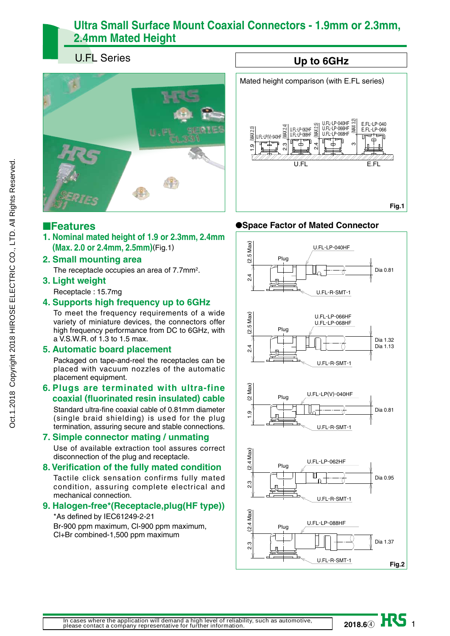# **Ultra Small Surface Mount Coaxial Connectors - 1.9mm or 2.3mm, 2.4mm Mated Height**

# U.FL Series



### ■**Features**

**1. Nominal mated height of 1.9 or 2.3mm, 2.4mm (Max. 2.0 or 2.4mm, 2.5mm)**(Fig.1)

### **2. Small mounting area**

The receptacle occupies an area of 7.7mm2.

### **3. Light weight**

Receptacle : 15.7mg

### **4. Supports high frequency up to 6GHz**

To meet the frequency requirements of a wide variety of miniature devices, the connectors offer high frequency performance from DC to 6GHz, with a V.S.W.R. of 1.3 to 1.5 max.

### **5. Automatic board placement**

Packaged on tape-and-reel the receptacles can be placed with vacuum nozzles of the automatic placement equipment.

### **6. Plugs are terminated with ultra-fine coaxial (fluorinated resin insulated) cable**

Standard ultra-fine coaxial cable of 0.81mm diameter (single braid shielding) is used for the plug termination, assuring secure and stable connections.

### **7. Simple connector mating / unmating**

Use of available extraction tool assures correct disconnection of the plug and receptacle.

### **8. Verification of the fully mated condition**

Tactile click sensation confirms fully mated condition, assuring complete electrical and mechanical connection.

### **9. Halogen-free\*(Receptacle,plug(HF type))**

\*As defined by IEC61249-2-21

Br-900 ppm maximum, Cl-900 ppm maximum, Cl+Br combined-1,500 ppm maximum

#### **Up to 6GHz** Mated height comparison (with E.FL series) U.FL-LP-040HF (MAX 3.2) E.FL-LP-040<br>E.FL-LP-066 MAX 2.5) MAX3 2.4 (MAX 2.5) 2.3 (MAX 2.4) U.FL-LP-062HF 1.9 (MAX 2.0) U.FL-LP(V)-040HF U.FL-LP-066HF U.FL-LP-068HF U.FL-LP-062HF  $\overline{=}$  $\overline{\phantom{a}}$ `╈ 6 LL EL E EL U.FL E.FL **Fig.1**

### ●**Space Factor of Mated Connector**

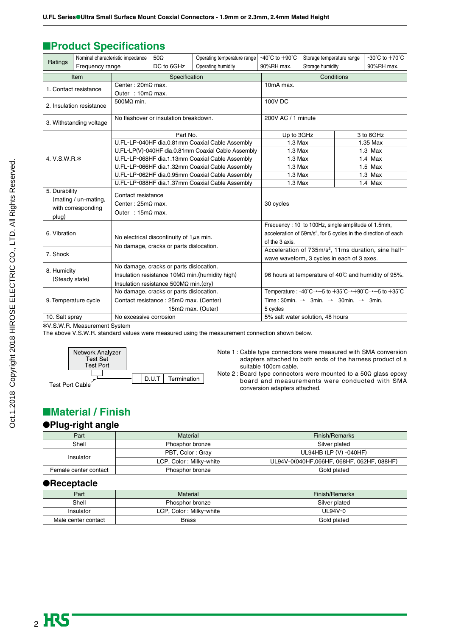# ■**Product Specifications**

| Ratings                                  | Nominal characteristic impedance |                                                      | $50\Omega$                                     | Operating temperature range                                     | -40°C to $+90^{\circ}$ C                                                                                               | Storage temperature range                                                  | $-30^{\circ}$ C to $+70^{\circ}$ C |  |
|------------------------------------------|----------------------------------|------------------------------------------------------|------------------------------------------------|-----------------------------------------------------------------|------------------------------------------------------------------------------------------------------------------------|----------------------------------------------------------------------------|------------------------------------|--|
| Frequency range                          |                                  | DC to 6GHz<br>Operating humidity                     |                                                | 90%RH max.                                                      | Storage humidity<br>90%RH max.                                                                                         |                                                                            |                                    |  |
| Item                                     |                                  |                                                      | Specification                                  |                                                                 |                                                                                                                        | Conditions                                                                 |                                    |  |
| 1. Contact resistance                    |                                  | Center: $20m\Omega$ max.                             |                                                |                                                                 | 10mA max.                                                                                                              |                                                                            |                                    |  |
|                                          |                                  | Outer : $10m\Omega$ max.                             |                                                |                                                                 |                                                                                                                        |                                                                            |                                    |  |
| 2. Insulation resistance                 |                                  | 500MΩ min.                                           |                                                |                                                                 | <b>100V DC</b>                                                                                                         |                                                                            |                                    |  |
|                                          | 3. Withstanding voltage          |                                                      | No flashover or insulation breakdown.          |                                                                 | 200V AC / 1 minute                                                                                                     |                                                                            |                                    |  |
|                                          |                                  |                                                      | Part No.                                       |                                                                 | Up to 3GHz                                                                                                             |                                                                            | 3 to 6GHz                          |  |
|                                          |                                  |                                                      |                                                | U.FL-LP-040HF dia.0.81mm Coaxial Cable Assembly                 | $1.3$ Max                                                                                                              |                                                                            | 1.35 Max                           |  |
|                                          |                                  |                                                      |                                                | U.FL-LP(V)-040HF dia.0.81mm Coaxial Cable Assembly              | $1.3$ Max                                                                                                              |                                                                            | $1.3$ Max                          |  |
| 4. V.S.W.R.*                             |                                  |                                                      |                                                | U.FL-LP-068HF dia.1.13mm Coaxial Cable Assembly                 | $1.3$ Max                                                                                                              |                                                                            | $1.4$ Max                          |  |
|                                          |                                  | U.FL-LP-066HF dia.1.32mm Coaxial Cable Assembly      |                                                |                                                                 | $1.3$ Max                                                                                                              |                                                                            | $1.5$ Max                          |  |
|                                          |                                  | U.FL-LP-062HF dia.0.95mm Coaxial Cable Assembly      |                                                | $1.3$ Max                                                       |                                                                                                                        | $1.3$ Max                                                                  |                                    |  |
|                                          |                                  | U.FL-LP-088HF dia.1.37mm Coaxial Cable Assembly      |                                                |                                                                 | $1.3$ Max                                                                                                              |                                                                            |                                    |  |
| 5. Durability                            |                                  | Contact resistance                                   |                                                |                                                                 |                                                                                                                        |                                                                            |                                    |  |
|                                          | (mating / un-mating,             | Center: $25m\Omega$ max.<br>Outer : $15m\Omega$ max. |                                                |                                                                 | 30 cycles                                                                                                              |                                                                            |                                    |  |
|                                          | with corresponding               |                                                      |                                                |                                                                 |                                                                                                                        |                                                                            |                                    |  |
| plug)                                    |                                  |                                                      |                                                |                                                                 |                                                                                                                        |                                                                            |                                    |  |
|                                          |                                  |                                                      |                                                |                                                                 |                                                                                                                        | Frequency: 10 to 100Hz, single amplitude of 1.5mm,                         |                                    |  |
| 6. Vibration                             |                                  |                                                      | No electrical discontinuity of $1\mu s$ min.   |                                                                 |                                                                                                                        | acceleration of 59m/s <sup>2</sup> , for 5 cycles in the direction of each |                                    |  |
|                                          |                                  |                                                      |                                                |                                                                 | of the 3 axis.                                                                                                         |                                                                            |                                    |  |
| 7. Shock                                 |                                  | No damage, cracks or parts dislocation.              |                                                | Acceleration of 735m/s <sup>2</sup> , 11ms duration, sine half- |                                                                                                                        |                                                                            |                                    |  |
|                                          |                                  |                                                      |                                                |                                                                 | wave waveform, 3 cycles in each of 3 axes.                                                                             |                                                                            |                                    |  |
| 8. Humidity                              |                                  |                                                      | No damage, cracks or parts dislocation.        |                                                                 |                                                                                                                        |                                                                            |                                    |  |
| (Steady state)                           |                                  | Insulation resistance 10MΩ min. (humidity high)      |                                                |                                                                 |                                                                                                                        | 96 hours at temperature of 40°C and humidity of 95%.                       |                                    |  |
|                                          |                                  | Insulation resistance $500M\Omega$ min. (dry)        |                                                |                                                                 |                                                                                                                        |                                                                            |                                    |  |
|                                          |                                  |                                                      | No damage, cracks or parts dislocation.        |                                                                 | Temperature: $-40^{\circ}C \rightarrow +5$ to $+35^{\circ}C \rightarrow +90^{\circ}C \rightarrow +5$ to $+35^{\circ}C$ |                                                                            |                                    |  |
|                                          | 9. Temperature cycle             |                                                      | Contact resistance : $25m\Omega$ max. (Center) |                                                                 | Time: 30min. $\rightarrow$ 3min. $\rightarrow$ 30min. $\rightarrow$ 3min.                                              |                                                                            |                                    |  |
|                                          |                                  | $15m\Omega$ max. (Outer)                             |                                                | 5 cycles                                                        |                                                                                                                        |                                                                            |                                    |  |
| 10. Salt spray<br>No excessive corrosion |                                  | 5% salt water solution, 48 hours                     |                                                |                                                                 |                                                                                                                        |                                                                            |                                    |  |

\*V.S.W.R. Measurement System

The above V.S.W.R. standard values were measured using the measurement connection shown below.



Test Port Cable

Note 1 : Cable type connectors were measured with SMA conversion adapters attached to both ends of the harness product of a suitable 100cm cable.

Note 2 : Board type connectors were mounted to a  $50\Omega$  glass epoxy board and measurements were conducted with SMA conversion adapters attached.

# ■**Material / Finish**

#### ●**Plug-right angle**

| Part                  | Material                | Finish/Remarks                         |  |
|-----------------------|-------------------------|----------------------------------------|--|
| Shell                 | Phosphor bronze         | Silver plated                          |  |
| Insulator             | PBT, Color: Gray        | UL94HB (LP (V) -040HF)                 |  |
|                       | LCP, Color: Milky-white | UL94V-0(040HF,066HF,068HF,062HF,088HF) |  |
| Female center contact | Phosphor bronze         | Gold plated                            |  |

### ●**Receptacle**

| Part                                 | Material        | <b>Finish/Remarks</b> |
|--------------------------------------|-----------------|-----------------------|
| Shell                                | Phosphor bronze | Silver plated         |
| LCP, Color: Milky-white<br>Insulator |                 | UL94V-0               |
| Male center contact                  | <b>Brass</b>    | Gold plated           |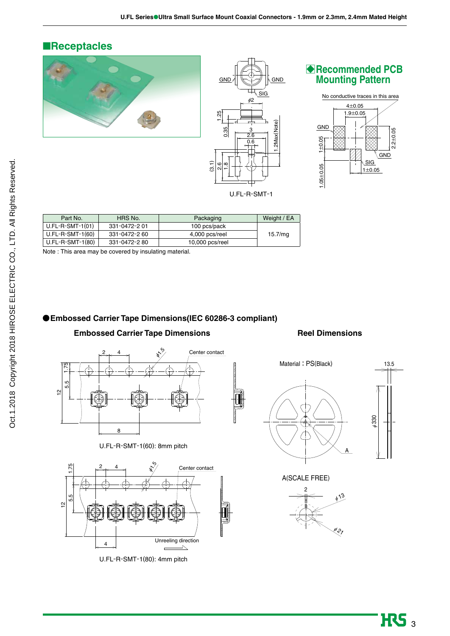### ■**Receptacles**









| Part No.           | HRS No.       | Packaging         | Weight / EA |
|--------------------|---------------|-------------------|-------------|
| $U.FL-R-SMT-1(01)$ | 331-0472-2 01 | 100 pcs/pack      |             |
| $U.FL-R-SMT-1(60)$ | 331-0472-2 60 | 4,000 pcs/reel    | 15.7/mg     |
| $U.FL-R-SMT-1(80)$ | 331-0472-280  | $10,000$ pcs/reel |             |

Note : This area may be covered by insulating material.

### **Embossed Carrier Tape Dimensions(IEC 60286-3 compliant)**

### **Embossed Carrier Tape Dimensions**

### **Reel Dimensions**



U.FL-R-SMT-1(60): 8mm pitch



U.FL-R-SMT-1(80): 4mm pitch



A(SCALE FREE)



-<br><del>>ا ا<</del>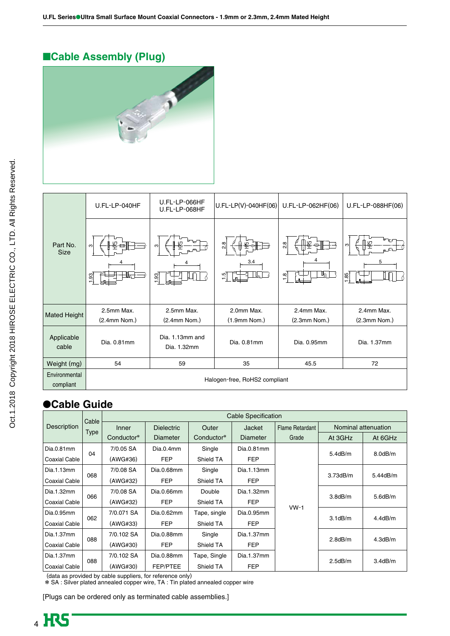# ■**Cable Assembly (Plug)**



|                                    | U.FL-LP-040HF                 | U.FL-LP-066HF<br>U.FL-LP-068HF | $U.FL-LP(V)-040HF(06)$            | U.FL-LP-062HF(06)          | U.FL-LP-088HF(06) |
|------------------------------------|-------------------------------|--------------------------------|-----------------------------------|----------------------------|-------------------|
| Part No.<br><b>Size</b>            | ₽<br>ო<br>1.93<br>ம்          | ო<br>1.93                      | $\frac{8}{2}$<br>3.4<br>1.5<br>⊔ո | 2.8<br>Цη<br>$\frac{1}{2}$ | ო<br>5<br>1.85    |
| <b>Mated Height</b>                | 2.5mm Max.                    | 2.5mm Max.                     | 2.0mm Max.                        | 2.4mm Max.                 | 2.4mm Max.        |
|                                    | (2.4mm Nom.)                  | $(2.4mm$ Nom.)                 | $(1.9mm$ Nom.)                    | $(2.3mm$ Nom.)             | $(2.3mm$ Nom.)    |
| Applicable<br>Dia. 0.81mm<br>cable |                               | Dia. 1.13mm and<br>Dia. 1.32mm | Dia. 0.81mm                       | Dia. 0.95mm                | Dia. 1.37mm       |
| Weight (mg)                        | 54<br>59                      |                                | 35                                | 45.5                       | 72                |
| Environmental<br>compliant         | Halogen-free, RoHS2 compliant |                                |                                   |                            |                   |

# ●**Cable Guide**

|                    | Cable | <b>Cable Specification</b> |                   |              |            |                 |                     |               |
|--------------------|-------|----------------------------|-------------------|--------------|------------|-----------------|---------------------|---------------|
| <b>Description</b> |       | Inner                      | <b>Dielectric</b> | Outer        | Jacket     | Flame Retardant | Nominal attenuation |               |
|                    | Type  | Conductor*                 | Diameter          | Conductor*   | Diameter   | Grade           | At 3GHz             | At 6GHz       |
| Dia.0.81mm         |       | 7/0.05 SA                  | Dia.0.4mm         | Single       | Dia.0.81mm |                 |                     |               |
| Coaxial Cable      | 04    | (AWG#36)                   | <b>FEP</b>        | Shield TA    | <b>FEP</b> |                 | 5.4dB/m             | $8.0$ d $B/m$ |
| Dia.1.13mm         |       | 7/0.08 SA                  | Dia.0.68mm        | Single       | Dia.1.13mm |                 |                     |               |
| Coaxial Cable      | 068   | (AWG#32)                   | <b>FEP</b>        | Shield TA    | <b>FEP</b> |                 | 3.73dB/m            | 5.44dB/m      |
| Dia.1.32mm         | 066   | 7/0.08 SA                  | Dia.0.66mm        | Double       | Dia.1.32mm |                 |                     |               |
| Coaxial Cable      |       | (AWG#32)                   | <b>FEP</b>        | Shield TA    | <b>FEP</b> |                 | 3.8dB/m             | $5.6$ d $B/m$ |
| Dia.0.95mm         |       | 7/0.071 SA                 | Dia.0.62mm        | Tape, single | Dia.0.95mm | $VW-1$          |                     |               |
| Coaxial Cable      | 062   | (AWG#33)                   | <b>FEP</b>        | Shield TA    | <b>FEP</b> |                 | $3.1$ d $B/m$       | 4.4dB/m       |
| Dia.1.37mm         | 088   | 7/0.102 SA                 | Dia.0.88mm        | Single       | Dia.1.37mm |                 |                     |               |
| Coaxial Cable      |       | (AWG#30)                   | <b>FEP</b>        | Shield TA    | <b>FEP</b> |                 | $2.8$ d $B/m$       | 4.3dB/m       |
| Dia.1.37mm         | 088   | 7/0.102 SA                 | Dia.0.88mm        | Tape, Single | Dia.1.37mm |                 | 2.5dB/m             | 3.4dB/m       |
| Coaxial Cable      |       | (AWG#30)                   | <b>FEP/PTEE</b>   | Shield TA    | <b>FEP</b> |                 |                     |               |

(data as provided by cable suppliers, for reference only)

\* SA : Silver plated annealed copper wire, TA : Tin plated annealed copper wire

[Plugs can be ordered only as terminated cable assemblies.]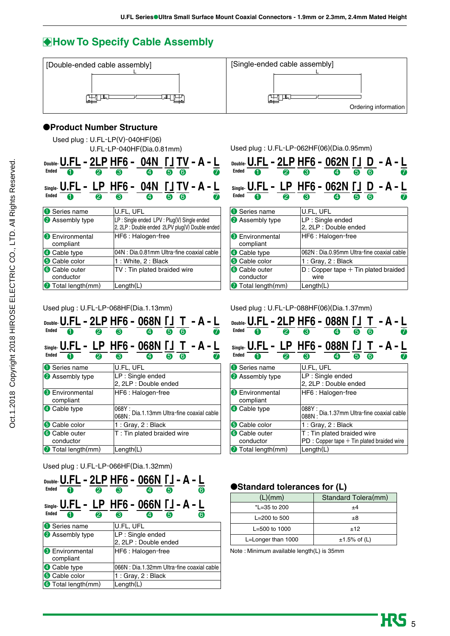# **How To Specify Cable Assembly**



### ●**Product Number Structure**

| Used plug: $U.FL-LP(V)-040HF(06)$ |
|-----------------------------------|
| $U.FL-LP-040HF(Dia.0.81mm)$       |

| Ended<br>2                          | DOUBle- $U.FL - 2LP HF6 - 04N$ $\lceil JTV - A - L \rceil$<br>$\overline{\boldsymbol{v}}$<br>A<br>$\ddot{\bullet}$<br>4<br>6 |  |  |
|-------------------------------------|------------------------------------------------------------------------------------------------------------------------------|--|--|
|                                     | <sub>Single</sub> . U.FL - LP HF6 - 04N 「J TV - A - L                                                                        |  |  |
| <b>Ended</b><br>2                   | 7<br>66<br>Ø)<br>❸                                                                                                           |  |  |
| <b>O</b> Series name                | U.FL, UFL                                                                                                                    |  |  |
| <b>2</b> Assembly type              | LP: Single ended LPV: Plug(V) Single ended<br>2, 2LP : Double ended 2LPV plug(V) Double ended                                |  |  |
| <b>8</b> Environmental<br>compliant | HF6: Halogen-free                                                                                                            |  |  |
| 4 Cable type                        | 04N : Dia.0.81mm Ultra-fine coaxial cable                                                                                    |  |  |
| <b>6</b> Cable color                | 1: White, 2: Black                                                                                                           |  |  |
| <b>6</b> Cable outer<br>conductor   | TV: Tin plated braided wire                                                                                                  |  |  |
| <b>7</b> Total length (mm)          | Length(L)                                                                                                                    |  |  |

#### Used plug : U.FL-LP-068HF(Dia.1.13mm)

| <b>Ended</b><br>2                   | DOUDIE: <b>U.FL - 2LP HF6 - 068N 「」T - A-L</b><br>66<br>8<br>4 |
|-------------------------------------|----------------------------------------------------------------|
| <b>Ended</b><br>2<br>4              | Single- U.FL - LP HF6 - 068N [J T - A - L<br>െര<br>6<br>A      |
| Series name                         | U.FL, UFL                                                      |
| <b>2</b> Assembly type              | LP : Single ended<br>2, 2LP : Double ended                     |
| <b>8</b> Environmental<br>compliant | HF6: Halogen-free                                              |
| 4 Cable type                        | 068Y:<br>068N: Dia.1.13mm Ultra-fine coaxial cable             |
| <b>6</b> Cable color                | 1 : Gray, $2:$ Black                                           |
| <b>6</b> Cable outer<br>conductor   | T: Tin plated braided wire                                     |
| <b>7</b> Total length(mm)           | Length(L)                                                      |

#### Used plug : U.FL-LP-066HF(Dia.1.32mm)

| Ended<br>❷<br>A                     | DOUDIE- <b>U.FL - 2LP HF6 - 066N 「J - A - L</b><br>A<br>6<br>G<br>4            |  |
|-------------------------------------|--------------------------------------------------------------------------------|--|
| <b>Ended</b><br>2                   | <sub>Single</sub> . <b>U.FL - LP HF6 - 066N 「J - A - L</b><br>6<br>G<br>B<br>4 |  |
| Series name                         | U.FL, UFL                                                                      |  |
| <b>2</b> Assembly type              | LP: Single ended<br>2, 2LP : Double ended                                      |  |
| <b>8</b> Environmental<br>compliant | HF6: Halogen-free                                                              |  |
| 4 Cable type                        | 066N : Dia.1.32mm Ultra-fine coaxial cable                                     |  |
| <b>6</b> Cable color                | 1: Gray, 2: Black                                                              |  |
| <b>Total length(mm)</b>             | Length(L)                                                                      |  |
|                                     |                                                                                |  |

Used plug : U.FL-LP-062HF(06)(Dia.0.95mm)

| ❷<br>Ended<br>A                     | Double- <b>U.FL - 2LP HF6 - 062N [] D - A - L</b><br>7<br>െ ര<br>ഒ<br>❹ |
|-------------------------------------|-------------------------------------------------------------------------|
| <b>Ended</b><br>2<br>Π              | <sub>Single</sub> . U.FL - LP HF6 - 062N [J D - A - L<br>6<br>ഭ<br>4    |
| Series name                         | U.FL, UFL                                                               |
| <b>2</b> Assembly type              | LP: Single ended<br>2, 2LP : Double ended                               |
| <b>6</b> Environmental<br>compliant | HF6: Halogen-free                                                       |
| 4 Cable type                        | 062N : Dia.0.95mm Ultra-fine coaxial cable                              |
| <b>5</b> Cable color                | 1 : Gray, 2 : Black                                                     |
| <b>6</b> Cable outer<br>conductor   | $D:$ Copper tape $+$ Tin plated braided<br>wire                         |
| Total length (mm)                   | $L$ ength $(L)$                                                         |

#### Used plug : U.FL-LP-088HF(06)(Dia.1.37mm)

| <b>Ended</b><br>2                           | DOUDIE- <b>U.FL – 2LP HF6 – 088N 「」T – A-L</b><br>$\overline{\bf a}$<br>66<br>8<br>$\ddot{\mathbf{a}}$ |
|---------------------------------------------|--------------------------------------------------------------------------------------------------------|
| $\boldsymbol{\varrho}$<br><b>Ended</b><br>A | Single- U.FL - LP HF6 - 088N [J T - A - L<br>$\overline{\textbf{a}}$<br>66<br>B<br>A)                  |
| <b>O</b> Series name                        | U.FL, UFL                                                                                              |
| <b>2</b> Assembly type                      | LP : Single ended<br>2, 2LP : Double ended                                                             |
| <b>8</b> Environmental<br>compliant         | HF6: Halogen-free                                                                                      |
| 4 Cable type                                | 088Y:<br>088N: Dia.1.37mm Ultra-fine coaxial cable                                                     |
| <b>5</b> Cable color                        | 1 : Gray, $2:$ Black                                                                                   |
| <b>6</b> Cable outer<br>conductor           | T: Tin plated braided wire<br>$PD: Copper tape + Tin plated braided wire$                              |
| <b>7</b> Total length (mm)                  | $L$ ength $(L)$                                                                                        |

### ●**Standard tolerances for (L)**

| (L)(mm)            | Standard Tolera(mm) |
|--------------------|---------------------|
| *L=35 to 200       | $+4$                |
| $L = 200$ to 500   | $_{\pm 8}$          |
| $L = 500$ to 1000  | ±12                 |
| L=Longer than 1000 | $±1.5%$ of (L)      |

Note : Minimum available length(L) is 35mm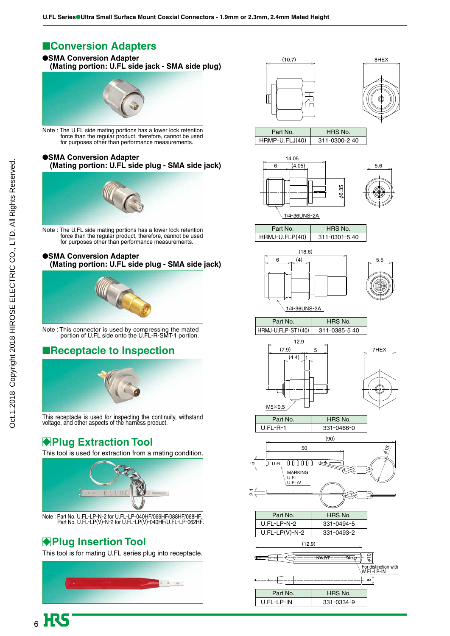# ■**Conversion Adapters**

### ●**SMA Conversion Adapter (Mating portion: U.FL side jack - SMA side plug)**



Note : The U.FL side mating portions has a lower lock retention force than the regular product, therefore, cannot be used for purposes other than performance measurements.

#### ●**SMA Conversion Adapter (Mating portion: U.FL side plug - SMA side jack)**



Note : The U.FL side mating portions has a lower lock retention force than the regular product, therefore, cannot be used for purposes other than performance measurements.

#### ●**SMA Conversion Adapter (Mating portion: U.FL side plug - SMA side jack)**



Note : This connector is used by compressing the mated portion of U.FL side onto the U.FL-R-SMT-1 portion.

# ■**Receptacle to Inspection**



This receptacle is used for inspecting the continuity, withstand voltage, and other aspects of the harness product.

# **Plug Extraction Tool**

This tool is used for extraction from a mating condition.



Note : Part No. U.FL-LP-N-2 for U.FL-LP-040HF/066HF/088HF/068HF. Part No. U.FL-LP(V)-N-2 for U.FL-LP(V)-040HF/U.FL-LP-062HF.

# **Plug Insertion Tool**

This tool is for mating U.FL series plug into receptacle.







Part No. | HRS No. HRMP-U.FLJ(40) 311-0300-2 40



















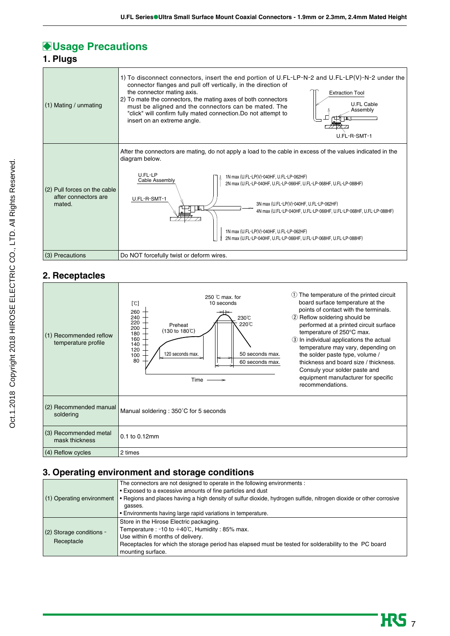# **Usage Precautions**

**1. Plugs**

| $(1)$ Mating / unmating                                        | 1) To disconnect connectors, insert the end portion of U.FL-LP-N-2 and U.FL-LP(V)-N-2 under the<br>connector flanges and pull off vertically, in the direction of<br>the connector mating axis.<br><b>Extraction Tool</b><br>2) To mate the connectors, the mating axes of both connectors<br><b>U.FL Cable</b><br>must be aligned and the connectors can be mated. The<br>Assembly<br>"click" will confirm fully mated connection. Do not attempt to<br>insert on an extreme angle.<br>U.FL-R-SMT-1                               |  |
|----------------------------------------------------------------|------------------------------------------------------------------------------------------------------------------------------------------------------------------------------------------------------------------------------------------------------------------------------------------------------------------------------------------------------------------------------------------------------------------------------------------------------------------------------------------------------------------------------------|--|
| (2) Pull forces on the cable<br>after connectors are<br>mated. | After the connectors are mating, do not apply a load to the cable in excess of the values indicated in the<br>diagram below.<br>U.FL-LP<br>1N max (U.FL-LP(V)-040HF, U.FL-LP-062HF)<br>Cable Assembly<br>2N max (U.FL-LP-040HF, U.FL-LP-066HF, U.FL-LP-068HF, U.FL-LP-088HF)<br>U.FL-R-SMT-1<br>3N max (U.FL-LP(V)-040HF, U.FL-LP-062HF)<br>4N max (U.FL-LP-040HF, U.FL-LP-066HF, U.FL-LP-068HF, U.FL-LP-088HF)<br>1N max (U.FL-LP(V)-040HF, U.FL-LP-062HF)<br>2N max (U.FL-LP-040HF, U.FL-LP-066HF, U.FL-LP-068HF, U.FL-LP-088HF) |  |
| (3) Precautions                                                | Do NOT forcefully twist or deform wires.                                                                                                                                                                                                                                                                                                                                                                                                                                                                                           |  |

# **2. Receptacles**

| (1) Recommended reflow<br>temperature profile | 250 °C max. for<br>10 seconds<br>$\lbrack \mathbb{C} \rbrack$<br>260<br>240<br>230°C<br>220<br>220°C<br>Preheat<br>200<br>(130 to 180℃)<br>180<br>160<br>140<br>120<br>120 seconds max.<br>50 seconds max.<br>100<br>80<br>60 seconds max.<br>$Time \longrightarrow$ | The temperature of the printed circuit<br>(1)<br>board surface temperature at the<br>points of contact with the terminals.<br>2 Reflow soldering should be<br>performed at a printed circuit surface<br>temperature of 250°C max.<br>3 In individual applications the actual<br>temperature may vary, depending on<br>the solder paste type, volume /<br>thickness and board size / thickness.<br>Consuly your solder paste and<br>equipment manufacturer for specific<br>recommendations. |
|-----------------------------------------------|----------------------------------------------------------------------------------------------------------------------------------------------------------------------------------------------------------------------------------------------------------------------|--------------------------------------------------------------------------------------------------------------------------------------------------------------------------------------------------------------------------------------------------------------------------------------------------------------------------------------------------------------------------------------------------------------------------------------------------------------------------------------------|
| (2) Recommended manual<br>soldering           | Manual soldering: 350°C for 5 seconds                                                                                                                                                                                                                                |                                                                                                                                                                                                                                                                                                                                                                                                                                                                                            |
| (3) Recommended metal<br>mask thickness       | 0.1 to 0.12mm                                                                                                                                                                                                                                                        |                                                                                                                                                                                                                                                                                                                                                                                                                                                                                            |
| (4) Reflow cycles                             | 2 times                                                                                                                                                                                                                                                              |                                                                                                                                                                                                                                                                                                                                                                                                                                                                                            |

# **3. Operating environment and storage conditions**

| (1) Operating environment              | The connectors are not designed to operate in the following environments :<br>• Exposed to a excessive amounts of fine particles and dust<br>• Regions and places having a high density of sulfur dioxide, hydrogen sulfide, nitrogen dioxide or other corrosive       |
|----------------------------------------|------------------------------------------------------------------------------------------------------------------------------------------------------------------------------------------------------------------------------------------------------------------------|
|                                        | gasses.<br>• Environments having large rapid variations in temperature.                                                                                                                                                                                                |
| (2) Storage conditions -<br>Receptacle | Store in the Hirose Electric packaging.<br>Temperature : -10 to $+40^{\circ}$ C, Humidity : 85% max.<br>Use within 6 months of delivery.<br>Receptacles for which the storage period has elapsed must be tested for solderability to the PC board<br>mounting surface. |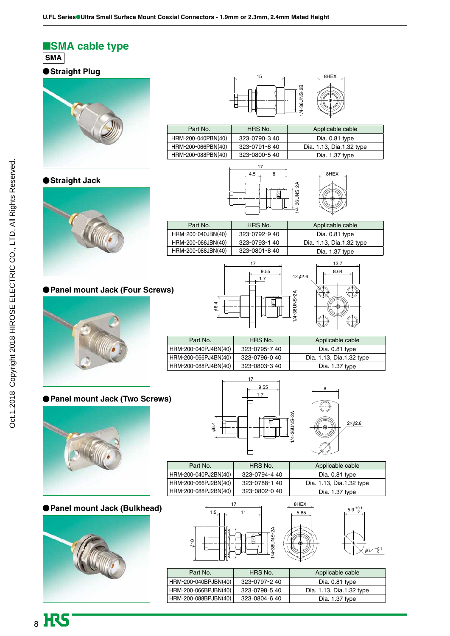### ■**SMA cable type SMA**

### **Straight Plug**



### 15 8HEX /4-36UNS-2B 1/4-36UNS-2B



 $\overline{1}$  $\overline{\phantom{a}}$ 

8HEX

### **Straight Jack**



### **Panel mount Jack (Four Screws)**



### **Panel mount Jack (Two Screws)**



### **Panel mount Jack (Bulkhead)**







| Part No.             | HRS No.      | Applicable cable         |
|----------------------|--------------|--------------------------|
| HRM-200-040PJ4BN(40) | 323-0795-740 | Dia. 0.81 type           |
| HRM-200-066PJ4BN(40) | 323-0796-040 | Dia. 1.13, Dia.1.32 type |
| HRM-200-088PJ4BN(40) | 323-0803-340 | Dia. 1.37 type           |

Ø6.4



| Part No.             | HRS No.       | Applicable cable         |
|----------------------|---------------|--------------------------|
| HRM-200-040PJ2BN(40) | 323-0794-4 40 | Dia. 0.81 type           |
| HRM-200-066PJ2BN(40) | 323-0788-140  | Dia. 1.13, Dia.1.32 type |
| HRM-200-088PJ2BN(40) | 323-0802-040  | Dia. 1.37 type           |



| $5.85$ $\Box$ | ລ.ອ 0 |                          |
|---------------|-------|--------------------------|
|               |       | $\phi$ 6.4 $^{+0.1}_{0}$ |

| Part No.             | HRS No.      | Applicable cable         |
|----------------------|--------------|--------------------------|
| HRM-200-040BPJBN(40) | 323-0797-240 | Dia. 0.81 type           |
| HRM-200-066BPJBN(40) | 323-0798-540 | Dia. 1.13, Dia.1.32 type |
| HRM-200-088BPJBN(40) | 323-0804-640 | Dia. 1.37 type           |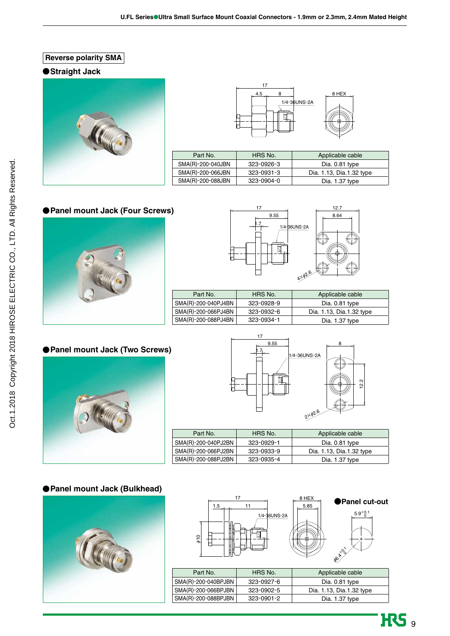**Reverse polarity SMA**

### **Straight Jack**





| Part No.          | HRS No.    | Applicable cable         |
|-------------------|------------|--------------------------|
| SMA(R)-200-040JBN | 323-0926-3 | Dia. 0.81 type           |
| SMA(R)-200-066JBN | 323-0931-3 | Dia. 1.13, Dia.1.32 type |
| SMA(R)-200-088JBN | 323-0904-0 | Dia. 1.37 type           |

### **Panel mount Jack (Four Screws)**





| Part No.            | HRS No.    | Applicable cable         |
|---------------------|------------|--------------------------|
| SMA(R)-200-040PJ4BN | 323-0928-9 | Dia. 0.81 type           |
| SMA(R)-200-066PJ4BN | 323-0932-6 | Dia. 1.13, Dia.1.32 type |
| SMA(R)-200-088PJ4BN | 323-0934-1 | Dia. 1.37 type           |

### **Panel mount Jack (Two Screws)**





| Part No.            | HRS No.    | Applicable cable         |
|---------------------|------------|--------------------------|
| SMA(R)-200-040PJ2BN | 323-0929-1 | Dia. 0.81 type           |
| SMA(R)-200-066PJ2BN | 323-0933-9 | Dia. 1.13, Dia.1.32 type |
| SMA(R)-200-088PJ2BN | 323-0935-4 | Dia. 1.37 type           |

### **Panel mount Jack (Bulkhead)**







| Part No.            | HRS No.          | Applicable cable         |
|---------------------|------------------|--------------------------|
| SMA(R)-200-040BPJBN | 323-0927-6       | Dia. 0.81 type           |
| SMA(R)-200-066BPJBN | 323-0902-5       | Dia. 1.13, Dia.1.32 type |
| SMA(R)-200-088BPJBN | $323 - 0901 - 2$ | Dia. 1.37 type           |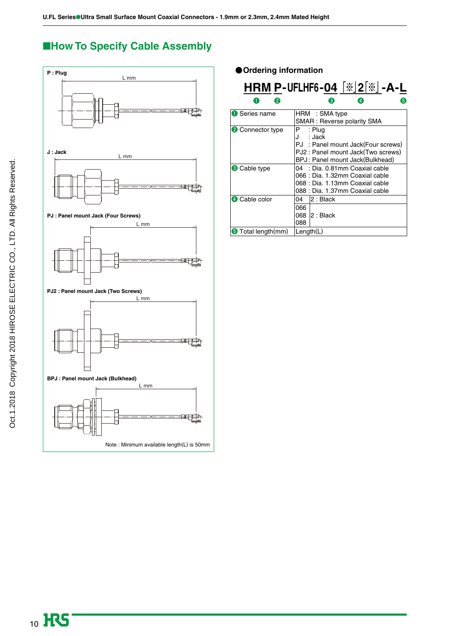# ■**How To Specify Cable Assembly**



**Ordering information**

|                            | <b>HRM P-UFLHF6-04</b> $\left[\frac{1}{2}\right]$ $\left[\frac{1}{2}\right]$ $\left[-A-L\right]$                                           |
|----------------------------|--------------------------------------------------------------------------------------------------------------------------------------------|
| 2<br>1                     | 6<br>$\mathbf{3}$                                                                                                                          |
| <b>O</b> Series name       | HRM : SMA type<br>SMAR : Reverse polarity SMA                                                                                              |
| <b>2</b> Connector type    | P<br>: Plug<br>: Jack<br>J<br>PJ: Panel mount Jack(Four screws)<br>PJ2: Panel mount Jack(Two screws)<br>BPJ: Panel mount Jack(Bulkhead)    |
| <b>3</b> Cable type        | : Dia. 0.81mm Coaxial cable<br>04<br>066 : Dia. 1.32mm Coaxial cable<br>068 : Dia. 1.13mm Coaxial cable<br>088 : Dia. 1.37mm Coaxial cable |
| <b>4</b> Cable color       | 2: Black<br>04<br>066<br>068 2: Black<br>088                                                                                               |
| <b>5</b> Total length (mm) | Length(L)                                                                                                                                  |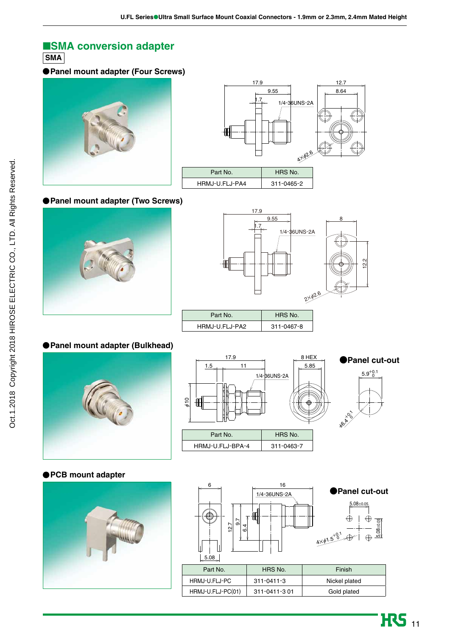# ■**SMA conversion adapter**

**SMA** 

### **Panel mount adapter (Four Screws)**





### **Panel mount adapter (Two Screws)**





### **Panel mount adapter (Bulkhead)**







**COR 1968** 

**HRS** 11

#### **PCB mount adapter**